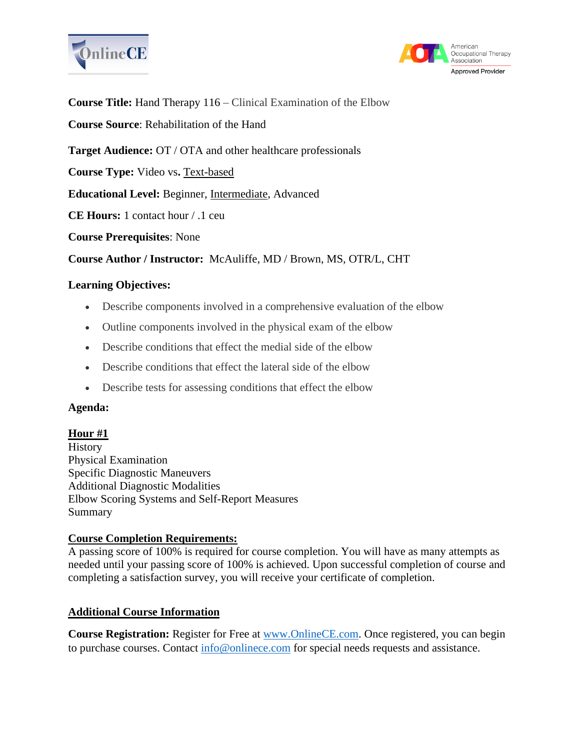



**Course Title:** Hand Therapy 116 – Clinical Examination of the Elbow

**Course Source**: Rehabilitation of the Hand

**Target Audience:** OT / OTA and other healthcare professionals

**Course Type:** Video vs**.** Text-based

**Educational Level:** Beginner, Intermediate, Advanced

**CE Hours:** 1 contact hour / .1 ceu

**Course Prerequisites**: None

**Course Author / Instructor:** McAuliffe, MD / Brown, MS, OTR/L, CHT

## **Learning Objectives:**

- Describe components involved in a comprehensive evaluation of the elbow
- Outline components involved in the physical exam of the elbow
- Describe conditions that effect the medial side of the elbow
- Describe conditions that effect the lateral side of the elbow
- Describe tests for assessing conditions that effect the elbow

### **Agenda:**

### **Hour #1**

History Physical Examination Specific Diagnostic Maneuvers Additional Diagnostic Modalities Elbow Scoring Systems and Self-Report Measures Summary

### **Course Completion Requirements:**

A passing score of 100% is required for course completion. You will have as many attempts as needed until your passing score of 100% is achieved. Upon successful completion of course and completing a satisfaction survey, you will receive your certificate of completion.

# **Additional Course Information**

**Course Registration:** Register for Free at [www.OnlineCE.com.](http://www.onlinece.com/) Once registered, you can begin to purchase courses. Contact [info@onlinece.com](mailto:info@onlinece.com) for special needs requests and assistance.